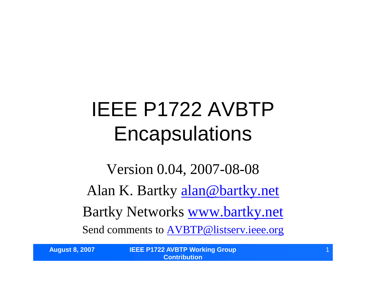## IEEE P1722 AVBTP **Encapsulations**

Version 0.04, 2007-08-08 Alan K. Bartky alan@bartky.net Bartky Networks www.bartky.net Send comments to AVBTP@listserv.ieee.org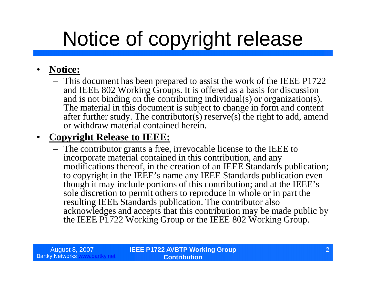## Notice of copyright release

#### • **Notice:**

– This document has been prepared to assist the work of the IEEE P1722 and IEEE 802 Working Groups. It is offered as a basis for discussion and is not binding on the contributing individual(s) or organization(s). The material in this document is subject to change in form and content after further study. The contributor(s) reserve(s) the right to add, amend or withdraw material contained herein.

#### • **Copyright Release to IEEE:**

– The contributor grants a free, irrevocable license to the IEEE to incorporate material contained in this contribution, and any modifications thereof, in the creation of an IEEE Standards publication; to copyright in the IEEE's name any IEEE Standards publication even though it may include portions of this contribution; and at the IEEE's sole discretion to permit others to reproduce in whole or in part the resulting IEEE Standards publication. The contributor also acknowledges and accepts that this contribution may be made public by the IEEE P1722 Working Group or the IEEE 802 Working Group.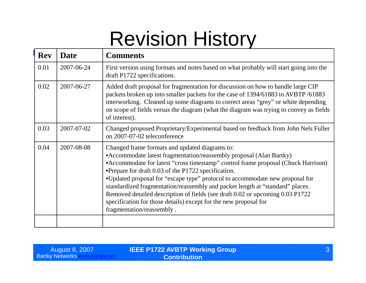### Revision History

| <b>Rev</b> | <b>Date</b> | <b>Comments</b>                                                                                                                                                                                                                                                                                                                                                                                                                                                                                                                                                                                                        |
|------------|-------------|------------------------------------------------------------------------------------------------------------------------------------------------------------------------------------------------------------------------------------------------------------------------------------------------------------------------------------------------------------------------------------------------------------------------------------------------------------------------------------------------------------------------------------------------------------------------------------------------------------------------|
| 0.01       | 2007-06-24  | First version using formats and notes based on what probably will start going into the<br>draft P1722 specifications.                                                                                                                                                                                                                                                                                                                                                                                                                                                                                                  |
| 0.02       | 2007-06-27  | Added draft proposal for fragmentation for discussion on how to handle large CIP<br>packets broken up into smaller packets for the case of 1394/61883 to AVBTP/61883<br>interworking. Cleaned up some diagrams to correct areas "grey" or white depending<br>on scope of fields versus the diagram (what the diagram was trying to convey as fields<br>of interest).                                                                                                                                                                                                                                                   |
| 0.03       | 2007-07-02  | Changed proposed Proprietary/Experimental based on feedback from John Nels Fuller<br>on 2007-07-02 teleconference                                                                                                                                                                                                                                                                                                                                                                                                                                                                                                      |
| 0.04       | 2007-08-08  | Changed frame formats and updated diagrams to:<br>• Accommodate latest fragmentation/reassembly proposal (Alan Bartky)<br>• Accommodate for latest "cross timestamp" control frame proposal (Chuck Harrison)<br>•Prepare for draft 0.03 of the P1722 specification.<br>•Updated proposal for "escape type" protocol to accommodate new proposal for<br>standardized fragmentation/reassembly and packet length at "standard" places.<br>Removed detailed description of fields (see draft 0.02 or upcoming 0.03 P1722<br>specification for those details) except for the new proposal for<br>fragmentation/reassembly. |
|            |             |                                                                                                                                                                                                                                                                                                                                                                                                                                                                                                                                                                                                                        |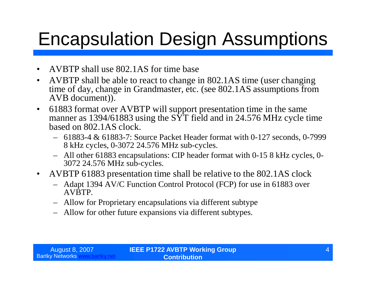### Encapsulation Design Assumptions

- AVBTP shall use 802.1AS for time base
- AVBTP shall be able to react to change in 802.1AS time (user changing time of day, change in Grandmaster, etc. (see 802.1AS assumptions from AVB document)).
- 61883 format over AVBTP will support presentation time in the same manner as 1394/61883 using the  $S\overline{Y}$  field and in 24.576 MHz cycle time based on 802.1AS clock.
	- 61883-4 & 61883-7: Source Packet Header format with 0-127 seconds, 0-7999 8 kHz cycles, 0-3072 24.576 MHz sub-cycles.
	- All other 61883 encapsulations: CIP header format with 0-15 8 kHz cycles, 0- 3072 24.576 MHz sub-cycles.
- AVBTP 61883 presentation time shall be relative to the 802.1AS clock
	- Adapt 1394 AV/C Function Control Protocol (FCP) for use in 61883 over AVBTP.
	- Allow for Proprietary encapsulations via different subtype
	- Allow for other future expansions via different subtypes.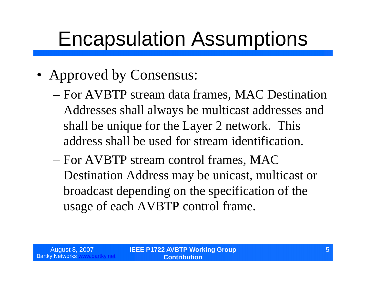### Encapsulation Assumptions

- Approved by Consensus:
	- –For AVBTP stream data frames, MAC Destination Addresses shall always be multicast addresses and shall be unique for the Layer 2 network. This address shall be used for stream identification.
	- –For AVBTP stream control frames, MAC Destination Address may be unicast, multicast or broadcast depending on the specification of the usage of each AVBTP control frame.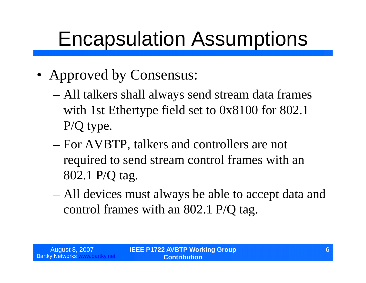### Encapsulation Assumptions

- Approved by Consensus:
	- –All talkers shall always send stream data frames with 1st Ethertype field set to 0x8100 for 802.1 P/Q type.
	- –For AVBTP, talkers and controllers are not required to send stream control frames with an 802.1 P/Q tag.
	- –All devices must always be able to accept data and control frames with an 802.1 P/Q tag.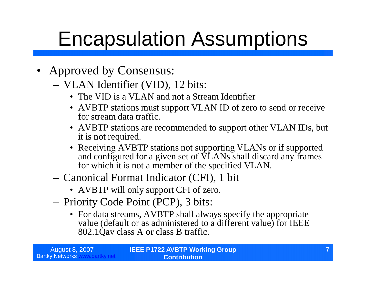### Encapsulation Assumptions

- Approved by Consensus:
	- VLAN Identifier (VID), 12 bits:
		- The VID is a VLAN and not a Stream Identifier
		- AVBTP stations must support VLAN ID of zero to send or receive for stream data traffic.
		- AVBTP stations are recommended to support other VLAN IDs, but it is not required.
		- Receiving AVBTP stations not supporting VLANs or if supported and configured for a given set of VLANs shall discard any frames for which it is not a member of the specified VLAN.
	- Canonical Format Indicator (CFI), 1 bit
		- AVBTP will only support CFI of zero.
	- Priority Code Point (PCP), 3 bits:
		- •For data streams, AVBTP shall always specify the appropriate value (default or as administered to a different value) for IEEE 802.1Qav class A or class B traffic.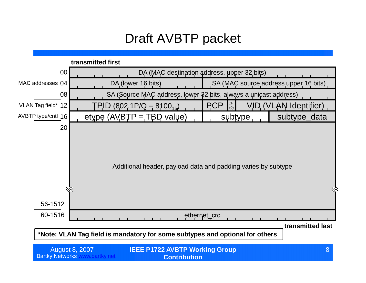#### Draft AVBTP packet

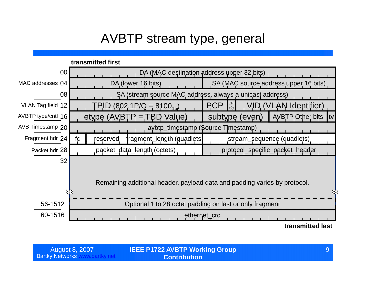#### AVBTP stream type, general

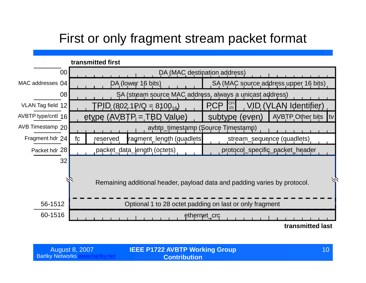#### First or only fragment stream packet format

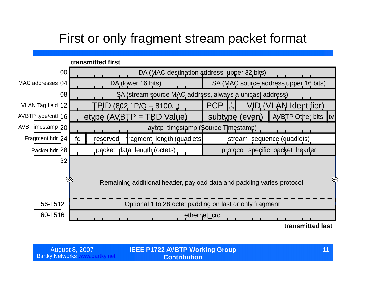#### First or only fragment stream packet format

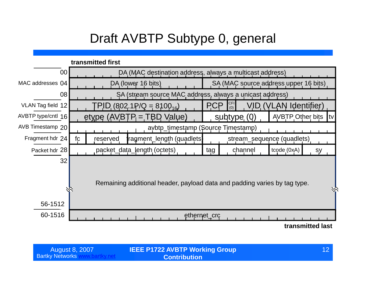#### Draft AVBTP Subtype 0, general



| August 8, 2007         |  |
|------------------------|--|
| <b>Bartky Networks</b> |  |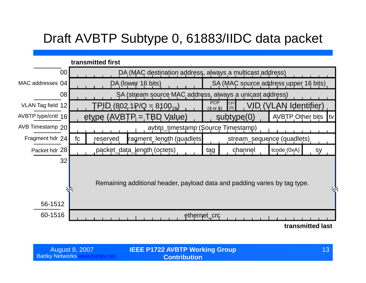#### Draft AVBTP Subtype 0, 61883/IIDC data packet



| <b>August 8, 2007</b>  |  |
|------------------------|--|
| <b>Bartky Networks</b> |  |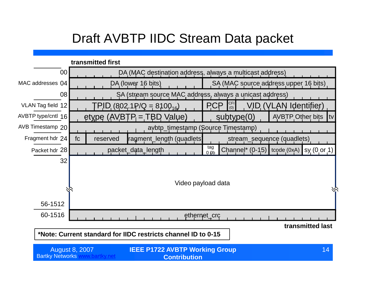#### Draft AVBTP IIDC Stream Data packet

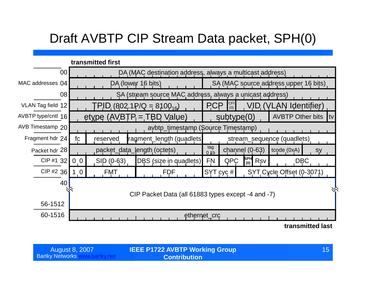#### Draft AVBTP CIP Stream Data packet, SPH(0)

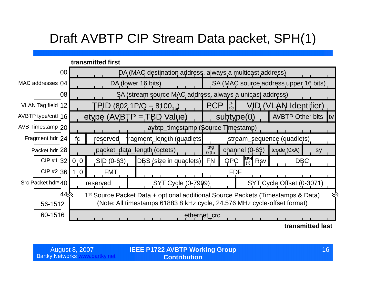#### Draft AVBTP CIP Stream Data packet, SPH(1)

|                                                                                                                |                                                                          | transmitted first            |  |                           |  |                                       |                   |                  |     |                            |                  |  |
|----------------------------------------------------------------------------------------------------------------|--------------------------------------------------------------------------|------------------------------|--|---------------------------|--|---------------------------------------|-------------------|------------------|-----|----------------------------|------------------|--|
|                                                                                                                | 00<br>DA (MAC destination address, always a multicast address)           |                              |  |                           |  |                                       |                   |                  |     |                            |                  |  |
| MAC addresses 04                                                                                               | DA (lower 16 bits)                                                       |                              |  |                           |  | SA (MAC source address upper 16 bits) |                   |                  |     |                            |                  |  |
|                                                                                                                | 08<br>SA (stream source MAC address, always a unicast address)           |                              |  |                           |  |                                       |                   |                  |     |                            |                  |  |
| VLAN Tag field 12                                                                                              |                                                                          | $PID (802.1P/Q = 8100_{16})$ |  |                           |  | <b>PCP</b>                            | <b>CFI</b><br>(0) |                  |     | VID (VLAN Identifier)      |                  |  |
| AVBTP type/cntl 16                                                                                             | etype $(AVBTP = TBD Value)$<br><b>AVBTP Other bits</b><br>subtype(0)     |                              |  |                           |  | Itv                                   |                   |                  |     |                            |                  |  |
| AVB Timestamp 20                                                                                               | avbtp_timestamp (Source Timestamp)                                       |                              |  |                           |  |                                       |                   |                  |     |                            |                  |  |
| Fragment hdr 24                                                                                                | fc                                                                       | reserved                     |  | ragment_length (quadlets) |  |                                       |                   |                  |     | stream_sequence (quadlets) |                  |  |
| Packet hdr 28                                                                                                  |                                                                          | packet_data_length (octets)  |  |                           |  | tag<br>01 <sub>b</sub>                |                   | channel $(0-63)$ |     | tcode (0xA)                | sy               |  |
| CIP #1 32                                                                                                      | 0 <sub>0</sub>                                                           | SID (0-63)                   |  | DBS (size in quadlets)    |  | <b>FN</b>                             | QPC               | SPH<br>(1)       | Rsv |                            | <b>DBC</b>       |  |
| CIP #2 36                                                                                                      | 1 <sub>0</sub>                                                           | <b>FMT</b>                   |  |                           |  |                                       | <b>FDF</b>        |                  |     |                            |                  |  |
| Src Packet hdr* 40                                                                                             |                                                                          | reserved                     |  | <b>SYT Cycle (0-7999)</b> |  |                                       |                   |                  |     | SYT Cycle Offset (0-3071)  |                  |  |
| 44 <sup>o</sup><br>1 <sup>st</sup> Source Packet Data + optional additional Source Packets (Timestamps & Data) |                                                                          |                              |  |                           |  |                                       |                   |                  |     |                            |                  |  |
| 56-1512                                                                                                        | (Note: All timestamps 61883 8 kHz cycle, 24.576 MHz cycle-offset format) |                              |  |                           |  |                                       |                   |                  |     |                            |                  |  |
| 60-1516<br>ethernet_crc                                                                                        |                                                                          |                              |  |                           |  |                                       |                   |                  |     |                            |                  |  |
|                                                                                                                |                                                                          |                              |  |                           |  |                                       |                   |                  |     |                            | transmitted last |  |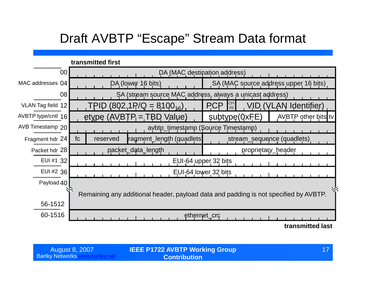### Draft AVBTP "Escape" Stream Data format

|                    | transmitted first                                                                    |                                                          |  |  |  |  |
|--------------------|--------------------------------------------------------------------------------------|----------------------------------------------------------|--|--|--|--|
| 00                 | DA (MAC destination address)                                                         |                                                          |  |  |  |  |
| MAC addresses 04   | DA (lower 16 bits)                                                                   | SA (MAC source address upper 16 bits)                    |  |  |  |  |
| 08                 | SA (stream source MAC address, always a unicast address)                             |                                                          |  |  |  |  |
| VLAN Tag field 12  | $(802.1 \text{P/Q} = 8100_{16})$<br>TPID                                             | <b>CFI</b><br><b>PCP</b><br>VID (VLAN Identifier)<br>(0) |  |  |  |  |
| AVBTP type/cntl 16 | $etype$ (AVBTP = TBD Value)                                                          | subtype(0xFE)<br>AVBTP other bits tv                     |  |  |  |  |
| AVB Timestamp 20   | avbtp_timestamp (Source Timestamp)                                                   |                                                          |  |  |  |  |
| Fragment hdr 24    | fc<br>ragment_length (quadlets)<br>reserved                                          | stream_sequence (quadlets)                               |  |  |  |  |
| Packet hdr 28      | packet_data_length                                                                   | proprietary_header                                       |  |  |  |  |
| EUI #1 32          | EUI-64 upper 32 bits                                                                 |                                                          |  |  |  |  |
| EUI #2 36          | EUI-64 lower 32 bits                                                                 |                                                          |  |  |  |  |
| Payload 40         |                                                                                      |                                                          |  |  |  |  |
|                    | Remaining any additional header, payload data and padding is not specified by AVBTP. |                                                          |  |  |  |  |
| 56-1512            |                                                                                      |                                                          |  |  |  |  |
| 60-1516            | ethernet_crc                                                                         |                                                          |  |  |  |  |
|                    |                                                                                      | transmitted last                                         |  |  |  |  |

| <b>August 8, 2007</b>  |  |
|------------------------|--|
| <b>Bartky Networks</b> |  |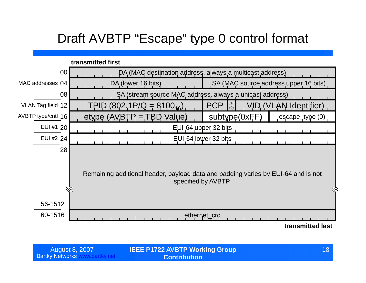#### Draft AVBTP "Escape" type 0 control format



| <b>August 8, 2007</b>  |  |
|------------------------|--|
| <b>Bartky Networks</b> |  |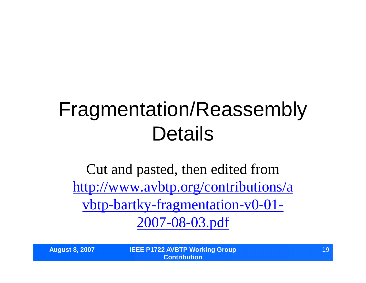### Fragmentation/Reassembly Details

Cut and pasted, then edited from http://www.avbtp.org/contributions/a vbtp-bartky-fragmentation-v0-01- 2007-08-03.pdf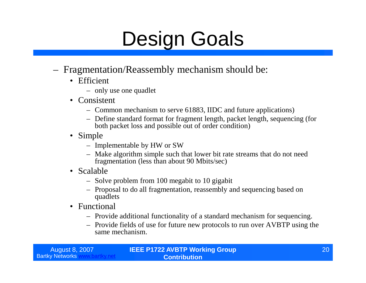### Design Goals

- Fragmentation/Reassembly mechanism should be:
	- Efficient
		- only use one quadlet
	- Consistent
		- Common mechanism to serve 61883, IIDC and future applications)
		- Define standard format for fragment length, packet length, sequencing (for both packet loss and possible out of order condition)
	- Simple
		- Implementable by HW or SW
		- Make algorithm simple such that lower bit rate streams that do not need fragmentation (less than about 90 Mbits/sec)
	- Scalable
		- Solve problem from 100 megabit to 10 gigabit
		- Proposal to do all fragmentation, reassembly and sequencing based on quadlets
	- Functional
		- Provide additional functionality of a standard mechanism for sequencing.
		- Provide fields of use for future new protocols to run over AVBTP using the same mechanism.

| <b>August 8, 2007</b>  |  |
|------------------------|--|
| <b>Bartky Networks</b> |  |

**IEEE P1722 AVBTP Working Group Contribution**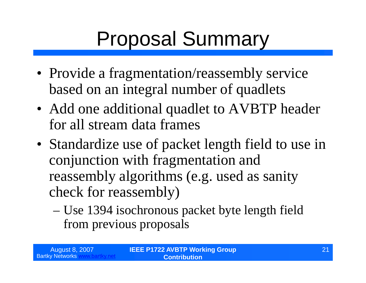# Proposal Summary

- Provide a fragmentation/reassembly service based on an integral number of quadlets
- Add one additional quadlet to AVBTP header for all stream data frames
- Standardize use of packet length field to use in conjunction with fragmentation and reassembly algorithms (e.g. used as sanity check for reassembly)
	- –Use 1394 isochronous packet byte length field from previous proposals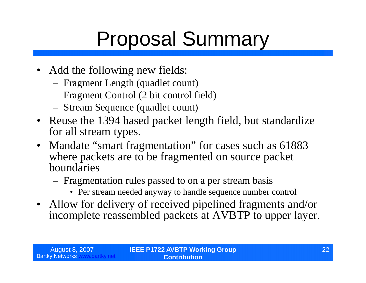# Proposal Summary

- Add the following new fields:
	- Fragment Length (quadlet count)
	- Fragment Control (2 bit control field)
	- Stream Sequence (quadlet count)
- Reuse the 1394 based packet length field, but standardize for all stream types.
- Mandate "smart fragmentation" for cases such as 61883 where packets are to be fragmented on source packet boundaries
	- Fragmentation rules passed to on a per stream basis
		- Per stream needed anyway to handle sequence number control
- Allow for delivery of received pipelined fragments and/or incomplete reassembled packets at AVBTP to upper layer.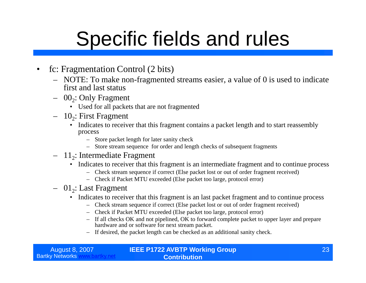### Specific fields and rules

- fc: Fragmentation Control (2 bits)
	- NOTE: To make non-fragmented streams easier, a value of 0 is used to indicate first and last status
	- $-$  00<sub>2</sub>: Only Fragment
		- Used for all packets that are not fragmented
	- $-10_2$ : First Fragment
		- Indicates to receiver that this fragment contains a packet length and to start reassembly process
			- Store packet length for later sanity check
			- Store stream sequence for order and length checks of subsequent fragments
	- $-11_2$ : Intermediate Fragment
		- Indicates to receiver that this fragment is an intermediate fragment and to continue process
			- Check stream sequence if correct (Else packet lost or out of order fragment received)
			- Check if Packet MTU exceeded (Else packet too large, protocol error)
	- $-$  01<sub>2</sub>: Last Fragment
		- Indicates to receiver that this fragment is an last packet fragment and to continue process
			- Check stream sequence if correct (Else packet lost or out of order fragment received)
			- Check if Packet MTU exceeded (Else packet too large, protocol error)
			- If all checks OK and not pipelined, OK to forward complete packet to upper layer and prepare hardware and or software for next stream packet.
			- If desired, the packet length can be checked as an additional sanity check.

| August 8, 2007           | <b>IEEE P1722 AVBTP Working Group</b> |  |
|--------------------------|---------------------------------------|--|
| <b>Bartky Networks w</b> | <b>Contribution</b>                   |  |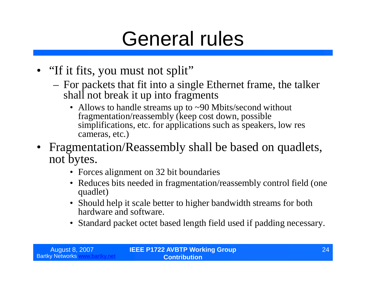### General rules

- "If it fits, you must not split"
	- For packets that fit into a single Ethernet frame, the talker shall not break it up into fragments
		- Allows to handle streams up to ~90 Mbits/second without fragmentation/reassembly (keep cost down, possible simplifications, etc. for applications such as speakers, low res cameras, etc.)
- Fragmentation/Reassembly shall be based on quadlets, not bytes.
	- Forces alignment on 32 bit boundaries
	- Reduces bits needed in fragmentation/reassembly control field (one) quadlet)
	- Should help it scale better to higher bandwidth streams for both hardware and software.
	- Standard packet octet based length field used if padding necessary.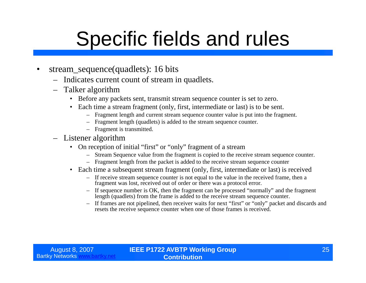### Specific fields and rules

- stream\_sequence(quadlets): 16 bits
	- Indicates current count of stream in quadlets.
	- Talker algorithm
		- Before any packets sent, transmit stream sequence counter is set to zero.
		- Each time a stream fragment (only, first, intermediate or last) is to be sent.
			- Fragment length and current stream sequence counter value is put into the fragment.
			- Fragment length (quadlets) is added to the stream sequence counter.
			- Fragment is transmitted.
	- Listener algorithm
		- On reception of initial "first" or "only" fragment of a stream
			- Stream Sequence value from the fragment is copied to the receive stream sequence counter.
			- Fragment length from the packet is added to the receive stream sequence counter
		- Each time a subsequent stream fragment (only, first, intermediate or last) is received
			- If receive stream sequence counter is not equal to the value in the received frame, then a fragment was lost, received out of order or there was a protocol error.
			- If sequence number is OK, then the fragment can be processed "normally"and the fragment length (quadlets) from the frame is added to the receive stream sequence counter.
			- If frames are not pipelined, then receiver waits for next "first"or "only"packet and discards and resets the receive sequence counter when one of those frames is received.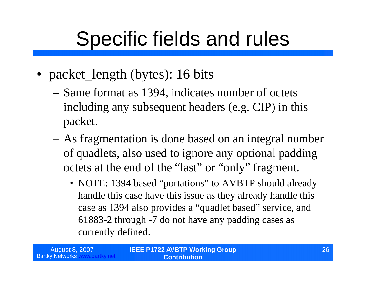### Specific fields and rules

- packet\_length (bytes): 16 bits
	- –Same format as 1394, indicates number of octets including any subsequent headers (e.g. CIP) in this packet.
	- –As fragmentation is done based on an integral number of quadlets, also used to ignore any optional padding octets at the end of the "last" or "only" fragment.
		- NOTE: 1394 based "portations" to AVBTP should already handle this case have this issue as they already handle this case as 1394 also provides a "quadlet based" service, and 61883-2 through -7 do not have any padding cases as currently defined.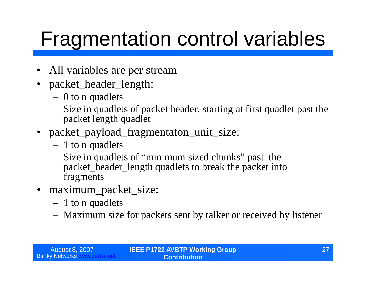## Fragmentation control variables

- All variables are per stream
- packet\_header\_length:
	- 0 to n quadlets
	- Size in quadlets of packet header, starting at first quadlet past the packet length quadlet
- packet\_payload\_fragmentaton\_unit\_size:
	- 1 to n quadlets
	- Size in quadlets of "minimum sized chunks"past the packet\_header\_length quadlets to break the packet into fragments
- maximum\_packet\_size:
	- 1 to n quadlets
	- Maximum size for packets sent by talker or received by listener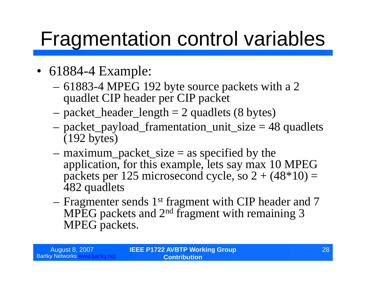### Fragmentation control variables

- 61884-4 Example:
	- –61883-4 MPEG 192 byte source packets with a 2 quadlet CIP header per CIP packet
	- $-$  packet\_header\_length  $= 2$  quadlets (8 bytes)
	- –packet\_payload\_framentation\_unit\_size = 48 quadlets (192 bytes)
	- $-$  maximum\_packet\_size  $=$  as specified by the application, for this example, lets say max 10 MPEG packets per 125 microsecond cycle, so  $2 + (48*10) =$ 482 quadlets
	- –Fragmenter sends 1st fragment with CIP header and 7 MPEG packets and 2nd fragment with remaining 3 MPEG packets.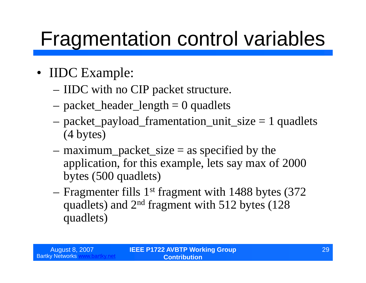### Fragmentation control variables

- IIDC Example:
	- –IIDC with no CIP packet structure.
	- $-$  packet\_header\_length  $= 0$  quadlets
	- –packet\_payload\_framentation\_unit\_size = 1 quadlets (4 bytes)
	- $-$  maximum\_packet\_size  $=$  as specified by the application, for this example, lets say max of 2000 bytes (500 quadlets)
	- –Fragmenter fills 1st fragment with 1488 bytes (372 quadlets) and 2nd fragment with 512 bytes (128 quadlets)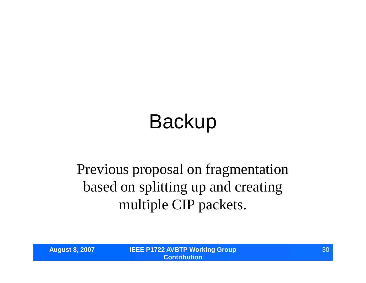# Backup

### Previous proposal on fragmentation based on splitting up and creating multiple CIP packets.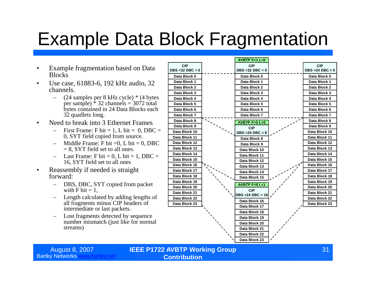### Example Data Block Fragmentation

- Example fragmentation based on Data **Blocks**
- Use case, 61883-6, 192 kHz audio, 32 channels.
	- (24 samples per 8 kHz cycle) \* (4 bytes per sample)  $\hat{ }$  32 channels = 3072 total bytes contained in 24 Data Blocks each 32 quadlets long.
- Need to break into 3 Ethernet Frames
	- First Frame: F bit = 1, L bit = 0, DBC = 0, SYT field copied from source.
	- Middle Frame: F bit  $=0$ , L bit  $= 0$ , DBC  $= 8$ , SYT field set to all ones.
	- $-$  Last Frame: F bit = 0, L bit = 1, DBC = 16, SYT field set to all ones
- Reassembly if needed is straight forward:
	- DBS, DBC, SYT copied from packet with  $F \text{ bit} = 1$ .
	- Length calculated by adding lengths of all fragments minus CIP headers of intermediate or last packets.
	- Lost fragments detected by sequence number mismatch (just like for normal streams)



August 8, 2007 **IEEE P1722 AVBTP Working Group Contribution**